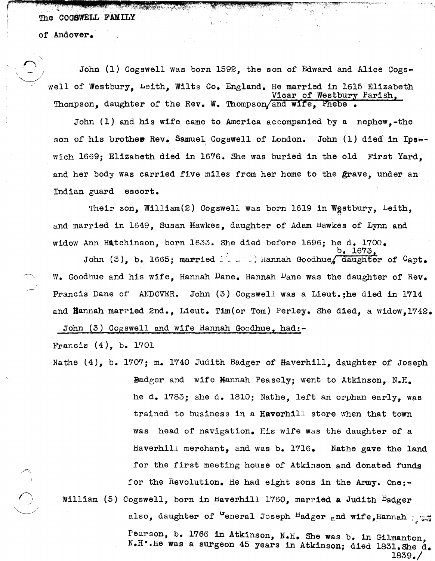The COGSWELL FAMILY

r 1.44 ; .44 p. t . 14 p. t . 14 p. t . 14 p. t . 14 p. t . 14 p. t . 14 p. t . 14 p. t . 14 p. t . 14 p. t .

of Andover •

 $\epsilon$ 

John (1) Cogswell was born 1592, the son of Edward and Alice Cogswell of Westbury, Leith, Wilts Co. England. He married in 1615 Elizabeth Vicar of Westbury Parish. Thompson. daughter of the Rev. W. Thompson/and wife, Phebe

John (1) and his wife came to America accompanied by a nephew,-the son of his brother Rev. Samuel Cogswell of London. John (1) died in Ips-wich 1669; Elizabeth died in 1676. She was buried in the old First Yard, and her body was carried five miles from her home to the grave, under an Indian guard escort.

Their son, William(2) Cogswell was born 1619 in Wgstbury, Leith, and married in 1649, Susan Hawkes, daughter of Adam Hawkes of Lynn and widow Ann Hatchinson, born 1633. She died before 1696; he d. 1700. • b. 1673,

John (3), b. 1665; married  $\frac{1}{2}$  . Hannah Goodhue, daughter of Capt.  $W_{\bullet}$  Goodhue and his wife, Hannah Dane. Hannah Dane was the daughter of Rev. Francis Dane of ANDOVER. John (3) Cogswell was a Lieut.;he died in 1714 and Hannah married 2nd., Lieut. Tim(or Tom) Perley. She died, a widow,1742.

John (3) Cogswell and wife Hannah Goodhue, had:-

Francis (4), b. 1701

Nathe (4), b. 1707; m. 1740 Judith Badger of Haverhill, daughter of Joseph

Badger and wife Bannah Pease1y; went to Atkinson, N.H. he d. 1783; she d. 1810; Nathe, left an orphan early, Was trained to business in a Haverhill store when that town was head of navigation. His wife was the daughter of a Haverhill merchant, and was b. 1716. Nathe gave the land for the first meeting house of Atkinson and donated funds for the Revolution. He had eight sons in the Army. One:-William (5) Cogswell, born in Haverhill 1760, married a Judith Badger

also, daughter of "eneral Joseph  $B$ adger and wife, Hannah range

Pearson, b. 1766 in Atkinson, N.H. She was b. in Gilmanton, N.H..He was a surgeon 45 years in Atkinson; died 1831.She d. 1839./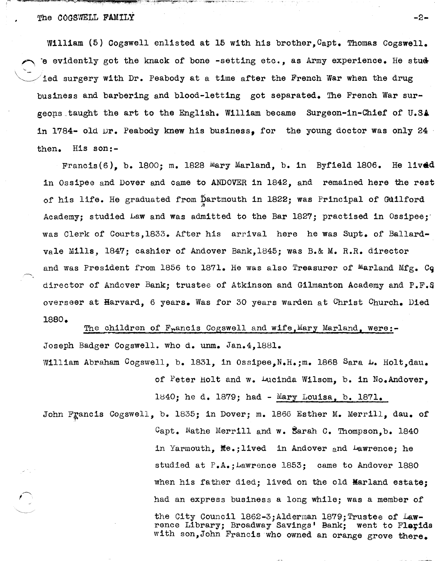## The COGSWELL FAMILY  $-2-$

'-  $\diagdown$ 

William (5) Cogswell enlisted at 15 with his brother, Capt. Thomas Cogswell.  $\epsilon$  evidently got the knack of bone -setting etc., as Army experience. He stude ded surgery with Dr. Peabody at a time after the French War when the drug business and barbering and blood-letting got separated. The French War surgeons taught the art to the English. William became Surgeon-in-Chief of U.SA in 1784- old Dr. Peabody knew his business. for the young doctor was only 24 then. His son:-

Francis(6), b. 1800; m. 1828 Mary Marland, b. in Byfield 1806. He lived in Ossipee and Dover and Came to ANDOVER in 1842, and remained here the rest of his life. He graduated from Dartmouth in 1822; was Principal of GUilford ,.:r Academy: studied Law and was admitted to the Bar 1827; practised in Ossipee; was Clerk of Courts,1833. After his arrival here he was Supt. of Ballardvale Mills, 1847; cashier of Andover Bank,1845; was B.& M. R.R. director and was President from 1856 to 1871. He was also Treasurer of Marland Mfg. Cq director of Andover Bank; trustee of Atkinson and Gilmanton Academy and P.F.S overseer at Harvard, 6 years. Was for 30 years warden at Christ Church. Died 1880.

The children of F<sub>r</sub>ancis Cogswell and wife, Mary Marland, were:-Joseph Badger Cogswell. who d. unm. Jan.4.1881. William Abraham Cogswell, b. 1831, in Ossipee, N.H.;m. 1868 Sara L. Holt, dau.

> of Peter Holt and w. Lucinda Wilsom, b. in No. Andover, le40; he d. 1879; had - Mary Louisa, b. 1871.

John Francis Cogswell, b. 1835; in Dover; m. 1866 Esther M. Merrill, dau. of  $C$ apt. Nathe Merrill and w. Sarah C. Thompson, b. 1840 in Yarmouth,  $\texttt{Me}_\bullet$ ; lived in Andover and Lawrence; he studied at  $P_{\bullet}A_{\bullet}$ ; Lawrence 1853; came to Andover 1880 when his father died; lived on the old Marland estate; had an express business a long while; was a member of the City Council l862-3;Alderman 1879;Trustee of Lawrence Library; Broadway Savings' Bank; went to Flarida with son,John Francis who owned an orange grove there.